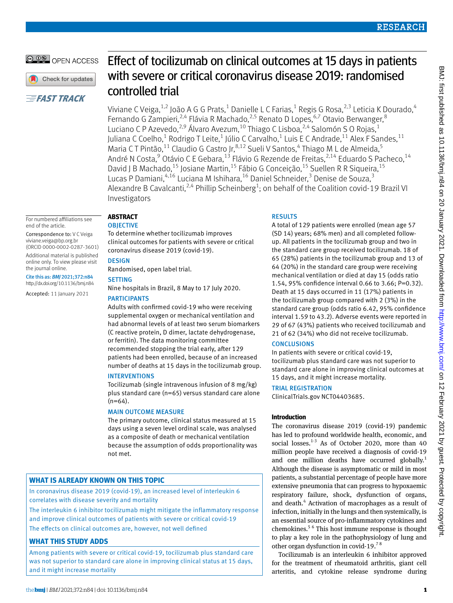# OPEN ACCESS

Check for updates

# **EFAST TRACK**

# Effect of tocilizumab on clinical outcomes at 15 days in patients with severe or critical coronavirus disease 2019: randomised controlled trial

Viviane C Veiga, $^{1,2}$  João A G G Prats, $^1$  Danielle L C Farias, $^1$  Regis G Rosa, $^{2,3}$  Leticia K Dourado, $^4$ Fernando G Zampieri,<sup>2,4</sup> Flávia R Machado,<sup>2,5</sup> Renato D Lopes,<sup>6,7</sup> Otavio Berwanger,<sup>8</sup> Luciano C P Azevedo, $^{2,9}$  Álvaro Avezum, $^{10}$  Thiago C Lisboa, $^{2,4}$  Salomón S O Rojas, $^{1}$ Juliana C Coelho, $^1$  Rodrigo T Leite, $^1$  Júlio C Carvalho, $^1$  Luis E C Andrade, $^{11}$  Alex F Sandes, $^{11}$ Maria CT Pintão, <sup>11</sup> Claudio G Castro Jr, <sup>8,12</sup> Sueli V Santos, <sup>4</sup> Thiago M L de Almeida, <sup>5</sup> André N Costa,<sup>9</sup> Otávio C E Gebara,<sup>13</sup> Flávio G Rezende de Freitas,<sup>2,14</sup> Eduardo S Pacheco,<sup>14</sup> David J B Machado,<sup>15</sup> Josiane Martin,<sup>15</sup> Fábio G Conceição,<sup>15</sup> Suellen R R Siqueira,<sup>15</sup> Lucas P Damiani, <sup>4,16</sup> Luciana M Ishihara, <sup>16</sup> Daniel Schneider, <sup>3</sup> Denise de Souza, <sup>3</sup> Alexandre B Cavalcanti,<sup>2,4</sup> Phillip Scheinberg<sup>1</sup>; on behalf of the Coalition covid-19 Brazil VI Investigators

For numbered affiliations see end of the article.

Correspondence to: V C Veiga viviane.veiga@bp.org.br (ORCID 0000-0002-0287-3601) Additional material is published

online only. To view please visit the journal online. Cite this as: *BMJ* 2021;372:n84

http://dx.doi.org/10.1136/bmj.n84

Accepted: 11 January 2021

#### **Abstract OBJECTIVE**

To determine whether tocilizumab improves

clinical outcomes for patients with severe or critical coronavirus disease 2019 (covid-19).

# **DESIGN**

Randomised, open label trial.

## **SETTING**

Nine hospitals in Brazil, 8 May to 17 July 2020.

# **PARTICIPANTS**

Adults with confirmed covid-19 who were receiving supplemental oxygen or mechanical ventilation and had abnormal levels of at least two serum biomarkers (C reactive protein, D dimer, lactate dehydrogenase, or ferritin). The data monitoring committee recommended stopping the trial early, after 129 patients had been enrolled, because of an increased number of deaths at 15 days in the tocilizumab group.

## **INTERVENTIONS**

Tocilizumab (single intravenous infusion of 8 mg/kg) plus standard care (n=65) versus standard care alone  $(n=64)$ .

## Main outcome measure

The primary outcome, clinical status measured at 15 days using a seven level ordinal scale, was analysed as a composite of death or mechanical ventilation because the assumption of odds proportionality was not met.

# **What is already known on this topic**

In coronavirus disease 2019 (covid-19), an increased level of interleukin 6 correlates with disease severity and mortality

The interleukin 6 inhibitor tocilizumab might mitigate the inflammatory response and improve clinical outcomes of patients with severe or critical covid-19 The effects on clinical outcomes are, however, not well defined

# **What this study adds**

Among patients with severe or critical covid-19, tocilizumab plus standard care was not superior to standard care alone in improving clinical status at 15 days, and it might increase mortality

# **RESULTS**

A total of 129 patients were enrolled (mean age 57 (SD 14) years; 68% men) and all completed followup. All patients in the tocilizumab group and two in the standard care group received tocilizumab. 18 of 65 (28%) patients in the tocilizumab group and 13 of 64 (20%) in the standard care group were receiving mechanical ventilation or died at day 15 (odds ratio 1.54, 95% confidence interval 0.66 to 3.66; P=0.32). Death at 15 days occurred in 11 (17%) patients in the tocilizumab group compared with 2 (3%) in the standard care group (odds ratio 6.42, 95% confidence interval 1.59 to 43.2). Adverse events were reported in 29 of 67 (43%) patients who received tocilizumab and 21 of 62 (34%) who did not receive tocilizumab.

# **CONCLUSIONS**

In patients with severe or critical covid-19, tocilizumab plus standard care was not superior to standard care alone in improving clinical outcomes at 15 days, and it might increase mortality.

# Trial registration

ClinicalTrials.gov NCT04403685.

## **Introduction**

The coronavirus disease 2019 (covid-19) pandemic has led to profound worldwide health, economic, and social losses. $1-3$  As of October 2020, more than 40 million people have received a diagnosis of covid-19 and one million deaths have occurred globally.<sup>1</sup> Although the disease is asymptomatic or mild in most patients, a substantial percentage of people have more extensive pneumonia that can progress to hypoxaemic respiratory failure, shock, dysfunction of organs, and death.<sup>4</sup> Activation of macrophages as a result of infection, initially in the lungs and then systemically, is an essential source of pro-inflammatory cytokines and chemokines.5 6 This host immune response is thought to play a key role in the pathophysiology of lung and other organ dysfunction in covid-19.7 8

Tocilizumab is an interleukin 6 inhibitor approved for the treatment of rheumatoid arthritis, giant cell arteritis, and cytokine release syndrome during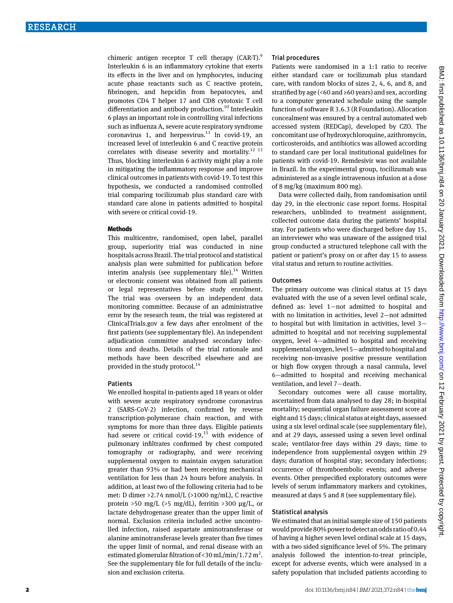chimeric antigen receptor T cell therapy  $(CAR-T)^9$ . Interleukin 6 is an inflammatory cytokine that exerts its effects in the liver and on lymphocytes, inducing acute phase reactants such as C reactive protein, fibrinogen, and hepcidin from hepatocytes, and promotes CD4 T helper 17 and CD8 cytotoxic T cell differentiation and antibody production.<sup>10</sup> Interleukin 6 plays an important role in controlling viral infections such as influenza A, severe acute respiratory syndrome coronavirus 1, and herpesvirus.<sup>11</sup> In covid-19, an increased level of interleukin 6 and C reactive protein correlates with disease severity and mortality. $^{12}$   $^{13}$ Thus, blocking interleukin 6 activity might play a role in mitigating the inflammatory response and improve clinical outcomes in patients with covid-19. To test this hypothesis, we conducted a randomised controlled trial comparing tocilizumab plus standard care with standard care alone in patients admitted to hospital with severe or critical covid-19.

#### **Methods**

This multicentre, randomised, open label, parallel group, superiority trial was conducted in nine hospitals across Brazil. The trial protocol and statistical analysis plan were submitted for publication before interim analysis (see supplementary file). $14$  Written or electronic consent was obtained from all patients or legal representatives before study enrolment. The trial was overseen by an independent data monitoring committee. Because of an administrative error by the research team, the trial was registered at ClinicalTrials.gov a few days after enrolment of the first patients (see supplementary file). An independent adjudication committee analysed secondary infections and deaths. Details of the trial rationale and methods have been described elsewhere and are provided in the study protocol.<sup>14</sup>

#### **Patients**

We enrolled hospital in-patients aged 18 years or older with severe acute respiratory syndrome coronavirus 2 (SARS-CoV-2) infection, confirmed by reverse transcription-polymerase chain reaction, and with symptoms for more than three days. Eligible patients had severe or critical covid-19, $15$  with evidence of pulmonary infiltrates confirmed by chest computed tomography or radiography, and were receiving supplemental oxygen to maintain oxygen saturation greater than 93% or had been receiving mechanical ventilation for less than 24 hours before analysis. In addition, at least two of the following criteria had to be met: D dimer >2.74 nmol/L (>1000 ng/mL), C reactive protein >50 mg/L (>5 mg/dL), ferritin >300 µg/L, or lactate dehydrogenase greater than the upper limit of normal. Exclusion criteria included active uncontrolled infection, raised aspartate aminotransferase or alanine aminotransferase levels greater than five times the upper limit of normal, and renal disease with an estimated glomerular filtration of <30 mL/min/1.72 m<sup>2</sup>. See the supplementary file for full details of the inclusion and exclusion criteria.

## Trial procedures

Patients were randomised in a 1:1 ratio to receive either standard care or tocilizumab plus standard care, with random blocks of sizes 2, 4, 6, and 8, and stratified by age (<60 and ≥60 years) and sex, according to a computer generated schedule using the sample function of software R 3.6.3 (R Foundation). Allocation concealment was ensured by a central automated web accessed system (REDCap), developed by CZO. The concomitant use of hydroxychloroquine, azithromycin, corticosteroids, and antibiotics was allowed according to standard care per local institutional guidelines for patients with covid-19. Remdesivir was not available in Brazil. In the experimental group, tocilizumab was administered as a single intravenous infusion at a dose of 8 mg/kg (maximum 800 mg).

Data were collected daily, from randomisation until day 29, in the electronic case report forms. Hospital researchers, unblinded to treatment assignment, collected outcome data during the patients' hospital stay. For patients who were discharged before day 15, an interviewer who was unaware of the assigned trial group conducted a structured telephone call with the patient or patient's proxy on or after day 15 to assess vital status and return to routine activities.

#### **Outcomes**

The primary outcome was clinical status at 15 days evaluated with the use of a seven level ordinal scale, defined as: level 1—not admitted to hospital and with no limitation in activities, level 2—not admitted to hospital but with limitation in activities, level 3 admitted to hospital and not receiving supplemental oxygen, level 4—admitted to hospital and receiving supplemental oxygen, level 5—admitted to hospital and receiving non-invasive positive pressure ventilation or high flow oxygen through a nasal cannula, level 6—admitted to hospital and receiving mechanical ventilation, and level 7—death.

Secondary outcomes were all cause mortality, ascertained from data analysed to day 28; in-hospital mortality; sequential organ failure assessment score at eight and 15 days; clinical status at eight days, assessed using a six level ordinal scale (see supplementary file), and at 29 days, assessed using a seven level ordinal scale; ventilator-free days within 29 days; time to independence from supplemental oxygen within 29 days; duration of hospital stay; secondary infections; occurrence of thromboembolic events; and adverse events. Other prespecified exploratory outcomes were levels of serum inflammatory markers and cytokines, measured at days 5 and 8 (see supplementary file).

## Statistical analysis

We estimated that an initial sample size of 150 patients would provide 80% power to detect an odds ratio of 0.44 of having a higher seven level ordinal scale at 15 days, with a two sided significance level of 5%. The primary analysis followed the intention-to-treat principle, except for adverse events, which were analysed in a safety population that included patients according to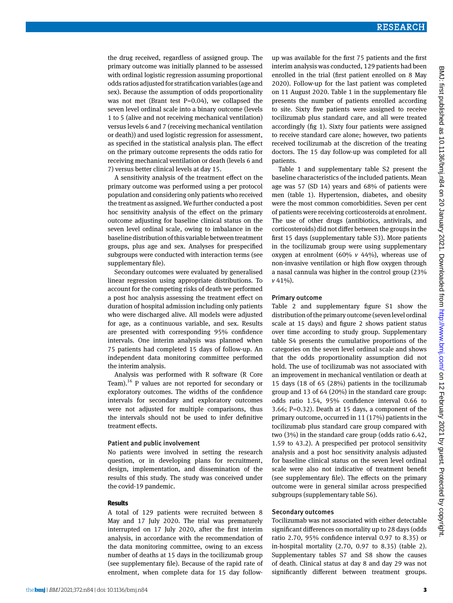the drug received, regardless of assigned group. The primary outcome was initially planned to be assessed with ordinal logistic regression assuming proportional odds ratios adjusted for stratification variables (age and sex). Because the assumption of odds proportionality was not met (Brant test P=0.04), we collapsed the seven level ordinal scale into a binary outcome (levels 1 to 5 (alive and not receiving mechanical ventilation) versus levels 6 and 7 (receiving mechanical ventilation or death)) and used logistic regression for assessment, as specified in the statistical analysis plan. The effect on the primary outcome represents the odds ratio for receiving mechanical ventilation or death (levels 6 and 7) versus better clinical levels at day 15.

A sensitivity analysis of the treatment effect on the primary outcome was performed using a per protocol population and considering only patients who received the treatment as assigned. We further conducted a post hoc sensitivity analysis of the effect on the primary outcome adjusting for baseline clinical status on the seven level ordinal scale, owing to imbalance in the baseline distribution of this variable between treatment groups, plus age and sex. Analyses for prespecified subgroups were conducted with interaction terms (see supplementary file).

Secondary outcomes were evaluated by generalised linear regression using appropriate distributions. To account for the competing risks of death we performed a post hoc analysis assessing the treatment effect on duration of hospital admission including only patients who were discharged alive. All models were adjusted for age, as a continuous variable, and sex. Results are presented with corresponding 95% confidence intervals. One interim analysis was planned when 75 patients had completed 15 days of follow-up. An independent data monitoring committee performed the interim analysis.

Analysis was performed with R software (R Core Team).<sup>16</sup> P values are not reported for secondary or exploratory outcomes. The widths of the confidence intervals for secondary and exploratory outcomes were not adjusted for multiple comparisons, thus the intervals should not be used to infer definitive treatment effects.

#### Patient and public involvement

No patients were involved in setting the research question, or in developing plans for recruitment, design, implementation, and dissemination of the results of this study. The study was conceived under the covid-19 pandemic.

#### **Results**

A total of 129 patients were recruited between 8 May and 17 July 2020. The trial was prematurely interrupted on 17 July 2020, after the first interim analysis, in accordance with the recommendation of the data monitoring committee, owing to an excess number of deaths at 15 days in the tocilizumab group (see supplementary file). Because of the rapid rate of enrolment, when complete data for 15 day followup was available for the first 75 patients and the first interim analysis was conducted, 129 patients had been enrolled in the trial (first patient enrolled on 8 May 2020). Follow-up for the last patient was completed on 11 August 2020. Table 1 in the supplementary file presents the number of patients enrolled according to site. Sixty five patients were assigned to receive tocilizumab plus standard care, and all were treated accordingly (fig 1). Sixty four patients were assigned to receive standard care alone; however, two patients received tocilizumab at the discretion of the treating doctors. The 15 day follow-up was completed for all patients.

Table 1 and supplementary table S2 present the baseline characteristics of the included patients. Mean age was 57 (SD 14) years and 68% of patients were men (table 1). Hypertension, diabetes, and obesity were the most common comorbidities. Seven per cent of patients were receiving corticosteroids at enrolment. The use of other drugs (antibiotics, antivirals, and corticosteroids) did not differ between the groups in the first 15 days (supplementary table S3). More patients in the tocilizumab group were using supplementary oxygen at enrolment (60%  $v$  44%), whereas use of non-invasive ventilation or high flow oxygen through a nasal cannula was higher in the control group (23% *v* 41%).

#### Primary outcome

Table 2 and supplementary figure S1 show the distribution of the primary outcome (seven level ordinal scale at 15 days) and figure 2 shows patient status over time according to study group. Supplementary table S4 presents the cumulative proportions of the categories on the seven level ordinal scale and shows that the odds proportionality assumption did not hold. The use of tocilizumab was not associated with an improvement in mechanical ventilation or death at 15 days (18 of 65 (28%) patients in the tocilizumab group and 13 of 64 (20%) in the standard care group: odds ratio 1.54, 95% confidence interval 0.66 to 3.66; P=0.32). Death at 15 days, a component of the primary outcome, occurred in 11 (17%) patients in the tocilizumab plus standard care group compared with two (3%) in the standard care group (odds ratio 6.42, 1.59 to 43.2). A prespecified per protocol sensitivity analysis and a post hoc sensitivity analysis adjusted for baseline clinical status on the seven level ordinal scale were also not indicative of treatment benefit (see supplementary file). The effects on the primary outcome were in general similar across prespecified subgroups (supplementary table S6).

#### Secondary outcomes

Tocilizumab was not associated with either detectable significant differences on mortality up to 28 days (odds ratio 2.70, 95% confidence interval 0.97 to 8.35) or in-hospital mortality (2.70, 0.97 to 8.35) (table 2). Supplementary tables S7 and S8 show the causes of death. Clinical status at day 8 and day 29 was not significantly different between treatment groups.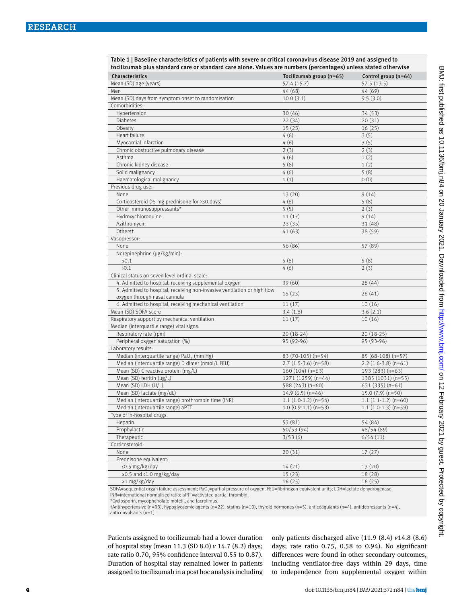Table 1 | Baseline characteristics of patients with severe or critical coronavirus disease 2019 and assigned to tocilizumab plus standard care or standard care alone. Values are numbers (percentages) unless stated otherwise

| Characteristics                                                          | Tocilizumab group (n=65)   | Control group (n=64)   |
|--------------------------------------------------------------------------|----------------------------|------------------------|
| Mean (SD) age (years)                                                    | 57.4 (15.7)                | 57.5 (13.5)            |
| Men                                                                      | 44 (68)                    | 44 (69)                |
| Mean (SD) days from symptom onset to randomisation                       | 10.0(3.1)                  | 9.5(3.0)               |
| Comorbidities:                                                           |                            |                        |
| Hypertension                                                             | 30(46)                     | 34 (53)                |
| Diabetes                                                                 | 22(34)                     | 20(31)                 |
| Obesity                                                                  | 15(23)                     | 16(25)                 |
| Heart failure                                                            | 4(6)                       | 3(5)                   |
| Myocardial infarction                                                    | 4(6)                       | 3(5)                   |
| Chronic obstructive pulmonary disease                                    | 2(3)                       | 2(3)                   |
| Asthma                                                                   | 4(6)                       | 1(2)                   |
| Chronic kidney disease                                                   | 5(8)                       | 1(2)                   |
| Solid malignancy                                                         | 4(6)                       | 5(8)                   |
| Haematological malignancy                                                | 1(1)                       | 0(0)                   |
| Previous drug use:                                                       |                            |                        |
| None                                                                     | 13 (20)                    | 9(14)                  |
| Corticosteroid (>5 mg prednisone for >30 days)                           | 4(6)                       | 5(8)                   |
| Other immunosuppressants*                                                | 5(5)                       | 2(3)                   |
| Hydroxychloroquine                                                       | 11(17)                     | 9(14)                  |
| Azithromycin                                                             | 23(35)                     | 31(48)                 |
| Otherst                                                                  | 41 (63)                    | 38 (59)                |
| Vasopressor:                                                             |                            |                        |
| None                                                                     | 56 (86)                    | 57 (89)                |
| Norepinephrine (µg/kg/min):                                              |                            |                        |
| $\leq 0.1$                                                               | 5(8)                       | 5(8)                   |
| 20.1                                                                     | 4(6)                       | 2(3)                   |
| Clinical status on seven level ordinal scale:                            |                            |                        |
| 4: Admitted to hospital, receiving supplemental oxygen                   | 39(60)                     | 28(44)                 |
| 5: Admitted to hospital, receiving non-invasive ventilation or high flow | 15(23)                     | 26(41)                 |
| oxygen through nasal cannula                                             |                            |                        |
| 6: Admitted to hospital, receiving mechanical ventilation                | 11(17)                     | 10(16)                 |
| Mean (SD) SOFA score                                                     | 3.4(1.8)                   | 3.6(2.1)               |
| Respiratory support by mechanical ventilation                            | 11(17)                     | 10(16)                 |
| Median (interquartile range) vital signs:                                |                            |                        |
| Respiratory rate (rpm)                                                   | $20(18-24)$                | $20(18-25)$            |
| Peripheral oxygen saturation (%)                                         | 95 (92-96)                 | 95 (93-96)             |
| Laboratory results:                                                      |                            |                        |
| Median (interquartile range) PaO <sub>2</sub> (mm Hg)                    | 83 (70-105) (n=54)         | 85 (68-108) (n=57)     |
| Median (interquartile range) D dimer (nmol/L FEU)                        | $2.7$ (1.5-3.6) (n=58)     | $2.2$ (1.6-3.8) (n=61) |
| Mean (SD) C reactive protein (mg/L)                                      | $160(104)(n=63)$           | 193 (283) (n=63)       |
| Mean (SD) ferritin (µg/L)                                                | 1271 (1259) (n=44)         | 1385 (1031) (n=55)     |
| Mean (SD) LDH (U/L)                                                      | 588 (243) (n=60)           | $631(335)(n=61)$       |
| Mean (SD) lactate (mg/dL)                                                | $14.9(6.5)(n=46)$          | $15.0(7.9)(n=50)$      |
| Median (interquartile range) prothrombin time (INR)                      | $1.1$ $(1.0-1.2)$ $(n=54)$ | $1.1(1.1-1.2)(n=60)$   |
| Median (interquartile range) aPTT                                        | $1.0(0.9-1.1)(n=53)$       | $1.1(1.0-1.3)(n=59)$   |
| Type of in-hospital drugs:                                               |                            |                        |
| Heparin                                                                  | 53 (81)                    | 54 (84)                |
| Prophylactic                                                             | 50/53 (94)                 | 48/54(89)              |
| Therapeutic                                                              | 3/53(6)                    | 6/54(11)               |
| Corticosteroid:                                                          |                            |                        |
| None                                                                     | 20(31)                     | 17(27)                 |
| Prednisone equivalent:                                                   |                            |                        |
| <0.5 mg/kg/day                                                           | 14(21)                     | 13 (20)                |
| ≥0.5 and <1.0 mg/kg/day                                                  | 15(23)                     | 18 (28)                |
| $\geq$ 1 mg/kg/day                                                       | 16(25)                     | 16(25)                 |

SOFA=sequential organ failure assessment; PaO<sub>2</sub>=partial pressure of oxygen; FEU=fibrinogen equivalent units; LDH=lactate dehydrogenase; INR=international normalised ratio; aPTT=activated partial thrombin.

\*Cyclosporin, mycophenolate mofetil, and tacrolimus.

†Antihypertensive (n=33), hypoglycaemic agents (n=22), statins (n=10), thyroid hormones (n=5), anticoagulants (n=4), antidepressants (n=4), anticonvulsants (n=1).

Patients assigned to tocilizumab had a lower duration of hospital stay (mean 11.3 (SD 8.0) *v* 14.7 (8.2) days; rate ratio 0.70, 95% confidence interval 0.55 to 0.87). Duration of hospital stay remained lower in patients assigned to tocilizumab in a post hoc analysis including only patients discharged alive (11.9 (8.4) *v*14.8 (8.6) days; rate ratio 0.75, 0.58 to 0.94). No significant differences were found in other secondary outcomes, including ventilator-free days within 29 days, time to independence from supplemental oxygen within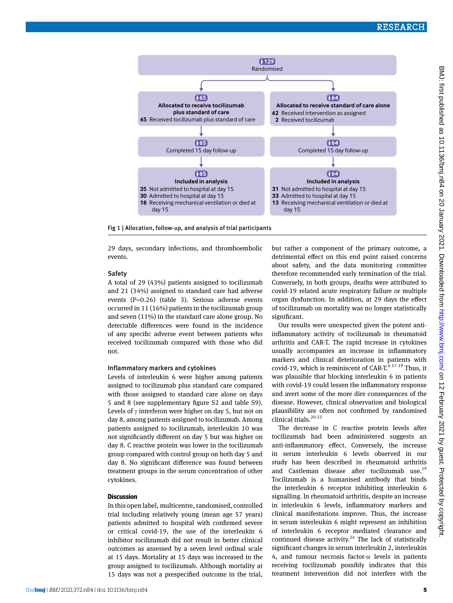

Fig 1 | Allocation, follow-up, and analysis of trial participants

29 days, secondary infections, and thromboembolic events.

#### **Safety**

A total of 29 (43%) patients assigned to tocilizumab and 21 (34%) assigned to standard care had adverse events (P=0.26) (table 3). Serious adverse events occurred in 11 (16%) patients in the tocilizumab group and seven (11%) in the standard care alone group. No detectable differences were found in the incidence of any specific adverse event between patients who received tocilizumab compared with those who did not.

#### Inflammatory markers and cytokines

Levels of interleukin 6 were higher among patients assigned to tocilizumab plus standard care compared with those assigned to standard care alone on days 5 and 8 (see supplementary figure S2 and table S9). Levels of  $\gamma$  interferon were higher on day 5, but not on day 8, among patients assigned to tocilizumab. Among patients assigned to tocilizumab, interleukin 10 was not significantly different on day 5 but was higher on day 8. C reactive protein was lower in the tocilizumab group compared with control group on both day 5 and day 8. No significant difference was found between treatment groups in the serum concentration of other cytokines.

#### **Discussion**

In this open label, multicentre, randomised, controlled trial including relatively young (mean age 57 years) patients admitted to hospital with confirmed severe or critical covid-19, the use of the interleukin 6 inhibitor tocilizumab did not result in better clinical outcomes as assessed by a seven level ordinal scale at 15 days. Mortality at 15 days was increased in the group assigned to tocilizumab. Although mortality at 15 days was not a prespecified outcome in the trial, but rather a component of the primary outcome, a detrimental effect on this end point raised concerns about safety, and the data monitoring committee therefore recommended early termination of the trial. Conversely, in both groups, deaths were attributed to covid-19 related acute respiratory failure or multiple organ dysfunction. In addition, at 29 days the effect of tocilizumab on mortality was no longer statistically significant.

Our results were unexpected given the potent antiinflammatory activity of tocilizumab in rheumatoid arthritis and CAR-T. The rapid increase in cytokines usually accompanies an increase in inflammatory markers and clinical deterioration in patients with covid-19, which is reminiscent of CAR-T. $6^{47-19}$  Thus, it was plausible that blocking interleukin 6 in patients with covid-19 could lessen the inflammatory response and avert some of the more dire consequences of the disease. However, clinical observation and biological plausibility are often not confirmed by randomised clinical trials.20-23

The decrease in C reactive protein levels after tocilizumab had been administered suggests an anti-inflammatory effect. Conversely, the increase in serum interleukin 6 levels observed in our study has been described in rheumatoid arthritis and Castleman disease after tocilizumab use.<sup>19</sup> Tocilizumab is a humanised antibody that binds the interleukin 6 receptor inhibiting interleukin 6 signalling. In rheumatoid arthritis, despite an increase in interleukin 6 levels, inflammatory markers and clinical manifestations improve. Thus, the increase in serum interleukin 6 might represent an inhibition of interleukin 6 receptor mediated clearance and continued disease activity.<sup>24</sup> The lack of statistically significant changes in serum interleukin 2, interleukin 4, and tumour necrosis factor- $\alpha$  levels in patients receiving tocilizumab possibly indicates that this treatment intervention did not interfere with the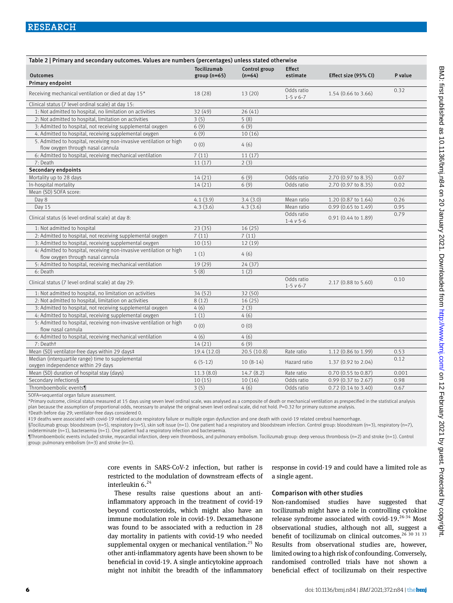| Table 2   Primary and secondary outcomes. Values are numbers (percentages) unless stated otherwise       |                              |                           |                                  |                               |         |  |  |  |
|----------------------------------------------------------------------------------------------------------|------------------------------|---------------------------|----------------------------------|-------------------------------|---------|--|--|--|
| <b>Outcomes</b>                                                                                          | Tocilizumab<br>$group(n=65)$ | Control group<br>$(n=64)$ | <b>Effect</b><br>estimate        | Effect size (95% CI)          | P value |  |  |  |
| Primary endpoint                                                                                         |                              |                           |                                  |                               |         |  |  |  |
| Receiving mechanical ventilation or died at day 15*                                                      | 18 (28)                      | 13(20)                    | Odds ratio<br>$1-5$ $v$ 6-7      | 1.54 (0.66 to 3.66)           | 0.32    |  |  |  |
| Clinical status (7 level ordinal scale) at day 15:                                                       |                              |                           |                                  |                               |         |  |  |  |
| 1: Not admitted to hospital, no limitation on activities                                                 | 32 (49)                      | 26(41)                    |                                  |                               |         |  |  |  |
| 2: Not admitted to hospital, limitation on activities                                                    | 3(5)                         | 5(8)                      |                                  |                               |         |  |  |  |
| 3: Admitted to hospital, not receiving supplemental oxygen                                               | 6(9)                         | 6(9)                      |                                  |                               |         |  |  |  |
| 4. Admitted to hospital, receiving supplemental oxygen                                                   | 6(9)                         | 10(16)                    |                                  |                               |         |  |  |  |
| 5. Admitted to hospital, receiving non-invasive ventilation or high<br>flow oxygen through nasal cannula | 0(0)                         | 4(6)                      |                                  |                               |         |  |  |  |
| 6: Admitted to hospital, receiving mechanical ventilation                                                | 7(11)                        | 11(17)                    |                                  |                               |         |  |  |  |
| 7: Death                                                                                                 | 11(17)                       | 2(3)                      |                                  |                               |         |  |  |  |
| Secondary endpoints                                                                                      |                              |                           |                                  |                               |         |  |  |  |
| Mortality up to 28 days                                                                                  | 14(21)                       | 6(9)                      | Odds ratio                       | 2.70 (0.97 to 8.35)           | 0.07    |  |  |  |
| In-hospital mortality                                                                                    | 14(21)                       | 6(9)                      | Odds ratio                       | 2.70 (0.97 to 8.35)           | 0.02    |  |  |  |
| Mean (SD) SOFA score:                                                                                    |                              |                           |                                  |                               |         |  |  |  |
| Day 8                                                                                                    | 4.1(3.9)                     | 3.4(3.0)                  | Mean ratio                       | 1.20 (0.87 to 1.64)           | 0.26    |  |  |  |
| Day 15                                                                                                   | 4.3(3.6)                     | 4.3(3.6)                  | Mean ratio                       | $0.99$ (0.65 to 1.49)         | 0.95    |  |  |  |
| Clinical status (6 level ordinal scale) at day 8:                                                        |                              |                           | Odds ratio<br>$1 - 4 \vee 5 - 6$ | $0.91(0.44 \text{ to } 1.89)$ | 0.79    |  |  |  |
| 1: Not admitted to hospital                                                                              | 23(35)                       | 16(25)                    |                                  |                               |         |  |  |  |
| 2: Admitted to hospital, not receiving supplemental oxygen                                               | 7(11)                        | 7(11)                     |                                  |                               |         |  |  |  |
| 3: Admitted to hospital, receiving supplemental oxygen                                                   | 10(15)                       | 12(19)                    |                                  |                               |         |  |  |  |
| 4: Admitted to hospital, receiving non-invasive ventilation or high<br>flow oxygen through nasal cannula | 1(1)                         | 4(6)                      |                                  |                               |         |  |  |  |
| 5: Admitted to hospital, receiving mechanical ventilation                                                | 19 (29)                      | 24(37)                    |                                  |                               |         |  |  |  |
| 6: Death                                                                                                 | 5(8)                         | 1(2)                      |                                  |                               |         |  |  |  |
| Clinical status (7 level ordinal scale) at day 29:                                                       |                              |                           | Odds ratio<br>$1-5$ $v$ 6-7      | 2.17 (0.88 to 5.60)           | 0.10    |  |  |  |
| 1: Not admitted to hospital, no limitation on activities                                                 | 34 (52)                      | 32(50)                    |                                  |                               |         |  |  |  |
| 2: Not admitted to hospital, limitation on activities                                                    | 8(12)                        | 16(25)                    |                                  |                               |         |  |  |  |
| 3: Admitted to hospital, not receiving supplemental oxygen                                               | 4(6)                         | 2(3)                      |                                  |                               |         |  |  |  |
| 4: Admitted to hospital, receiving supplemental oxygen                                                   | 1(1)                         | 4(6)                      |                                  |                               |         |  |  |  |
| 5: Admitted to hospital, receiving non-invasive ventilation or high<br>flow nasal cannula                | 0(0)                         | 0(0)                      |                                  |                               |         |  |  |  |
| 6: Admitted to hospital, receiving mechanical ventilation                                                | 4(6)                         | 4(6)                      |                                  |                               |         |  |  |  |
| 7: Deatht                                                                                                | 14(21)                       | 6(9)                      |                                  |                               |         |  |  |  |
| Mean (SD) ventilator-free days within 29 days‡                                                           | 19.4 (12.0)                  | 20.5(10.8)                | Rate ratio                       | 1.12 (0.86 to 1.99)           | 0.53    |  |  |  |
| Median (interquartile range) time to supplemental<br>oxygen independence within 29 days                  | $6(5-12)$                    | $10(8-14)$                | Hazard ratio                     | 1.37 (0.92 to 2.04)           | 0.12    |  |  |  |
| Mean (SD) duration of hospital stay (days)                                                               | 11.3(8.0)                    | 14.7(8.2)                 | Rate ratio                       | 0.70 (0.55 to 0.87)           | 0.001   |  |  |  |
| Secondary infections§                                                                                    | 10(15)                       | 10(16)                    | Odds ratio                       | 0.99 (0.37 to 2.67)           | 0.98    |  |  |  |
| Thromboembolic events¶                                                                                   | 3(5)                         | 4(6)                      | Odds ratio                       | $0.72$ $(0.14$ to 3.40)       | 0.67    |  |  |  |

SOFA=sequential organ failure assessment.

\*Primary outcome, clinical status measured at 15 days using seven level ordinal scale, was analysed as a composite of death or mechanical ventilation as prespecified in the statistical analysis plan because the assumption of proportional odds, necessary to analyse the original seven level ordinal scale, did not hold. P=0.32 for primary outcome analysis.

†Death before day 29; ventilator-free days considered 0.

‡19 deaths were associated with covid-19 related acute respiratory failure or multiple organ dysfunction and one death with covid-19 related cerebral haemorrhage.

§Tocilizumab group: bloodstream (n=5), respiratory (n=5), skin soft issue (n=1). One patient had a respiratory and bloodstream infection. Control group: bloodstream (n=3), respiratory (n=7), indeterminate  $(n=1)$ , bacteraemia  $(n=1)$ . One patient had a respiratory infection and bacteraemia.

¶Thromboembolic events included stroke, myocardial infarction, deep vein thrombosis, and pulmonary embolism. Tocilizumab group: deep venous thrombosis (n=2) and stroke (n=1). Control group: pulmonary embolism (n=3) and stroke (n=1).

> core events in SARS-CoV-2 infection, but rather is restricted to the modulation of downstream effects of interleukin  $6.^{24}$

response in covid-19 and could have a limited role as a single agent.

These results raise questions about an antiinflammatory approach in the treatment of covid-19 beyond corticosteroids, which might also have an immune modulation role in covid-19. Dexamethasone was found to be associated with a reduction in 28 day mortality in patients with covid-19 who needed supplemental oxygen or mechanical ventilation. $25$  No other anti-inflammatory agents have been shown to be beneficial in covid-19. A single anticytokine approach might not inhibit the breadth of the inflammatory

## Comparison with other studies

Non-randomised studies have suggested that tocilizumab might have a role in controlling cytokine release syndrome associated with covid-19. $26-34$  Most observational studies, although not all, suggest a benefit of tocilizumab on clinical outcomes.<sup>26 30 31 33</sup> Results from observational studies are, however, limited owing to a high risk of confounding. Conversely, randomised controlled trials have not shown a beneficial effect of tocilizumab on their respective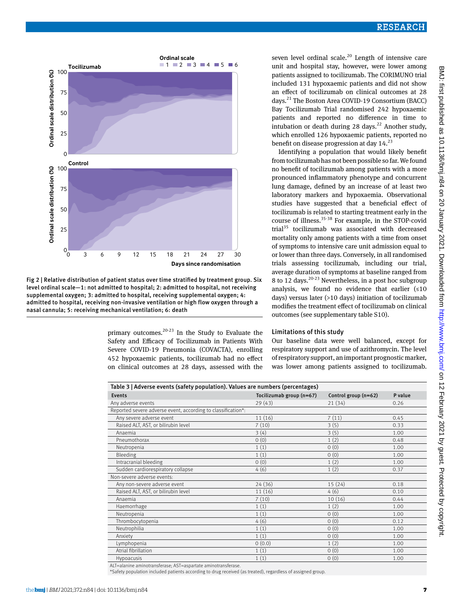



primary outcomes. $20-23$  In the Study to Evaluate the Safety and Efficacy of Tocilizumab in Patients With Severe COVID-19 Pneumonia (COVACTA), enrolling 452 hypoxaemic patients, tocilizumab had no effect on clinical outcomes at 28 days, assessed with the seven level ordinal scale.<sup>20</sup> Length of intensive care unit and hospital stay, however, were lower among patients assigned to tocilizumab. The CORIMUNO trial included 131 hypoxaemic patients and did not show an effect of tocilizumab on clinical outcomes at 28 days.21 The Boston Area COVID-19 Consortium (BACC) Bay Tocilizumab Trial randomised 242 hypoxaemic patients and reported no difference in time to intubation or death during 28 days.<sup>22</sup> Another study, which enrolled 126 hypoxaemic patients, reported no benefit on disease progression at day  $14.<sup>23</sup>$ 

Identifying a population that would likely benefit from tocilizumab has not been possible so far. We found no benefit of tocilizumab among patients with a more pronounced inflammatory phenotype and concurrent lung damage, defined by an increase of at least two laboratory markers and hypoxaemia. Observational studies have suggested that a beneficial effect of tocilizumab is related to starting treatment early in the course of illness.35-38 For example, in the STOP-covid trial $35$  tocilizumab was associated with decreased mortality only among patients with a time from onset of symptoms to intensive care unit admission equal to or lower than three days. Conversely, in all randomised trials assessing tocilizumab, including our trial, average duration of symptoms at baseline ranged from 8 to 12 days.<sup>20-23</sup> Nevertheless, in a post hoc subgroup analysis, we found no evidence that earlier  $(≤10)$ days) versus later (>10 days) initiation of tocilizumab modifies the treatment effect of tocilizumab on clinical outcomes (see supplementary table S10).

#### Limitations of this study

Our baseline data were well balanced, except for respiratory support and use of azithromycin. The level of respiratory support, an important prognostic marker, was lower among patients assigned to tocilizumab.

| Table 3   Adverse events (safety population). Values are numbers (percentages) |                          |                      |         |  |  |  |  |
|--------------------------------------------------------------------------------|--------------------------|----------------------|---------|--|--|--|--|
| <b>Events</b>                                                                  | Tocilizumab group (n=67) | Control group (n=62) | P value |  |  |  |  |
| Any adverse events                                                             | 29(43)                   | 21(34)               | 0.26    |  |  |  |  |
| Reported severe adverse event, according to classification*:                   |                          |                      |         |  |  |  |  |
| Any severe adverse event                                                       | 11(16)                   | 7(11)                | 0.45    |  |  |  |  |
| Raised ALT, AST, or bilirubin level                                            | 7(10)                    | 3(5)                 | 0.33    |  |  |  |  |
| Anaemia                                                                        | 3(4)                     | 3(5)                 | 1.00    |  |  |  |  |
| Pneumothorax                                                                   | 0(0)                     | 1(2)                 | 0.48    |  |  |  |  |
| Neutropenia                                                                    | 1(1)                     | 0(0)                 | 1.00    |  |  |  |  |
| Bleeding                                                                       | 1(1)                     | 0(0)                 | 1.00    |  |  |  |  |
| Intracranial bleeding                                                          | 0(0)                     | 1(2)                 | 1.00    |  |  |  |  |
| Sudden cardiorespiratory collapse                                              | 4(6)                     | 1(2)                 | 0.37    |  |  |  |  |
| Non-severe adverse events:                                                     |                          |                      |         |  |  |  |  |
| Any non-severe adverse event                                                   | 24 (36)                  | 15(24)               | 0.18    |  |  |  |  |
| Raised ALT, AST, or bilirubin level                                            | 11(16)                   | 4(6)                 | 0.10    |  |  |  |  |
| Anaemia                                                                        | 7(10)                    | 10(16)               | 0.44    |  |  |  |  |
| Haemorrhage                                                                    | 1(1)                     | 1(2)                 | 1.00    |  |  |  |  |
| Neutropenia                                                                    | 1(1)                     | 0(0)                 | 1.00    |  |  |  |  |
| Thrombocytopenia                                                               | 4(6)                     | 0(0)                 | 0.12    |  |  |  |  |
| Neutrophilia                                                                   | 1(1)                     | 0(0)                 | 1.00    |  |  |  |  |
| Anxiety                                                                        | 1(1)                     | 0(0)                 | 1.00    |  |  |  |  |
| Lymphopenia                                                                    | 0(0.0)                   | 1(2)                 | 1.00    |  |  |  |  |
| Atrial fibrillation                                                            | 1(1)                     | 0(0)                 | 1.00    |  |  |  |  |
| Hypoacusis                                                                     | 1(1)                     | 0(0)                 | 1.00    |  |  |  |  |

ALT=alanine aminotransferase; AST=aspartate aminotransferase.

\*Safety population included patients according to drug received (as treated), regardless of assigned group.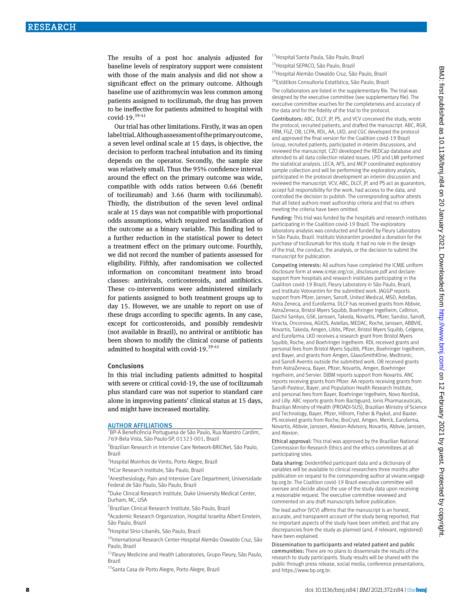The results of a post hoc analysis adjusted for baseline levels of respiratory support were consistent with those of the main analysis and did not show a significant effect on the primary outcome. Although baseline use of azithromycin was less common among patients assigned to tocilizumab, the drug has proven to be ineffective for patients admitted to hospital with covid-19.39-41

Our trial has other limitations. Firstly, it was an open label trial. Although assessment of the primary outcome, a seven level ordinal scale at 15 days, is objective, the decision to perform tracheal intubation and its timing depends on the operator. Secondly, the sample size was relatively small. Thus the 95% confidence interval around the effect on the primary outcome was wide, compatible with odds ratios between 0.66 (benefit of tocilizumab) and 3.66 (harm with tocilizumab). Thirdly, the distribution of the seven level ordinal scale at 15 days was not compatible with proportional odds assumptions, which required reclassification of the outcome as a binary variable. This finding led to a further reduction in the statistical power to detect a treatment effect on the primary outcome. Fourthly, we did not record the number of patients assessed for eligibility. Fifthly, after randomisation we collected information on concomitant treatment into broad classes: antivirals, corticosteroids, and antibiotics. These co-interventions were administered similarly for patients assigned to both treatment groups up to day 15. However, we are unable to report on use of these drugs according to specific agents. In any case, except for corticosteroids, and possibly remdesivir (not available in Brazil), no antiviral or antibiotic has been shown to modify the clinical course of patients admitted to hospital with covid-19.<sup>39-41</sup>

#### Conclusions

In this trial including patients admitted to hospital with severe or critical covid-19, the use of tocilizumab plus standard care was not superior to standard care alone in improving patients' clinical status at 15 days, and might have increased mortality.

#### **AUTHOR AFFILIATIONS**

<sup>1</sup>BP-A Beneficência Portuguesa de São Paulo, Rua Maestro Cardim, 769-Bela Vista, São Paulo-SP, 01323-001, Brazil

2 Brazilian Research in Intensive Care Network-BRICNet, São Paulo, Brazil

<sup>3</sup>Hospital Moinhos de Vento, Porto Alegre, Brazil

4 HCor Research Institute, São Paulo, Brazil

5 Anesthesiology, Pain and Intensive Care Department, Universidade Federal de São Paulo, São Paulo, Brazil

6 Duke Clinical Research Institute, Duke University Medical Center, Durham, NC, USA

7 Brazilian Clinical Research Institute, São Paulo, Brazil

8 Academic Research Organization, Hospital Israelita Albert Einstein, São Paulo, Brazil

<sup>9</sup> Hospital Sírio-Libanês, São Paulo, Brazil

<sup>10</sup>International Research Center-Hospital Alemão Oswaldo Cruz, São Paulo, Brazil

<sup>11</sup>Fleury Medicine and Health Laboratories, Grupo Fleury, São Paulo, Brazil

12Santa Casa de Porto Alegre, Porto Alegre, Brazil

- 13 Hospital Santa Paula, São Paulo, Brazil
- 14Hospital SEPACO, São Paulo, Brazil
- 15Hospital Alemão Oswaldo Cruz, São Paulo, Brazil
- 16Estátikos Consultoria Estatística, São Paulo, Brazil

The collaborators are listed in the supplementary file. The trial was designed by the executive committee (see supplementary file). The executive committee vouches for the completeness and accuracy of the data and for the fidelity of the trial to the protocol.

Contributors: ABC, DLCF, JP, PS, and VCV conceived the study, wrote the protocol, recruited patients, and drafted the manuscript. ABC, RGR, FRM, FGZ, OB, LCPA, RDL, AA, LKD, and CGC developed the protocol and approved the final version for the Coalition covid-19 Brazil Group, recruited patients, participated in interim discussions, and reviewed the manuscript. CZO developed the REDCap database and attended to all data collection related issues. LPD and LMI performed the statistical analysis. LECA, AFS, and MCP coordinated exploratory sample collection and will be performing the exploratory analysis, participated in the protocol development an interim discussion and reviewed the manuscript. VCV, ABC, DLCF, JP, and PS act as guarantors, accept full responsibility for the work, had access to the data, and controlled the decision to publish. The corresponding author attests that all listed authors meet authorship criteria and that no others meeting the criteria have been omitted.

Funding: This trial was funded by the hospitals and research institutes participating in the Coalition covid-19 Brazil. The exploratory laboratory analysis was conducted and funded by Fleury Laboratory in São Paulo, Brazil. Instituto Votorantim provided a donation for the purchase of tocilizumab for this study. It had no role in the design of the trial, the conduct, the analysis, or the decision to submit the manuscript for publication.

Competing interests: All authors have completed the ICMJE uniform disclosure form at www.icmje.org/coi\_disclosure.pdf and declare: support from hospitals and research institutes participating in the Coalition covid-19 Brazil, Fleury Laboratory in São Paulo, Brazil, and Instituto Votorantim for the submitted work. JAGGP reports support from Pfizer, Jansen, Sanofi, United Medical, MSD, Astellas, Astra Zeneca, and Eurofarma. DLCF has received grants from Abbvie, AstraZeneca, Bristol Myers Squibb, Boehringer Ingelheim, Celltrion, Daichii Sankyo, GSK, Janssen, Takeda, Novartis, Pfizer, Sandoz, Sanofi, Viracta, Onconova, AGIOS, Astellas, MEDAC, Roche, Janssen, ABBVIE, Novartis, Takeda, Amgen, Libbs, Pfizer, Bristol Myers Squibb, Celgene, and Eurofarma. LKD receives a research grant from Bristol Myers Squibb, Roche, and Boehringer Ingelheim. RDL received grants and personal fees from Bristol Myers Squibb, Pfizer, Boehringer Ingelheim, and Bayer, and grants from Amgen, GlaxoSmithKline, Medtronic, and Sanofi Aventis outside the submitted work. OB received grants from AstraZeneca, Bayer, Pfizer, Novartis, Amgen, Boehringer Ingelheim, and Servier. DJBM reports support from Novartis. ANC reports receiving grants from Pfizer. AA reports receiving grants from Sanofi-Pasteur, Bayer, and Population Health Research Institute, and personal fees from Bayer, Boehringer Ingelheim, Novo Nordisk, and Lilly. ABC reports grants from Bactiguard, Ionis Pharmaceuticals, Brazilian Ministry of Health (PROADI-SUS), Brazilian Ministry of Science and Technology, Bayer, Pfizer, Hillrom, Fisher & Paykel, and Baxter. PS received grants from Roche, BioCryst, Amgen, Merck, Eurofarma, Novartis, Abbvie, Janssen, Alexion-Advisory, Novartis, Abbvie, Janssen, and Alexion.

Ethical approval: This trial was approved by the Brazilian National Commission for Research Ethics and the ethics committees at all participating sites.

Data sharing: Deidentified participant data and a dictionary of variables will be available to clinical researchers three months after publication on request to the corresponding author at viviane.veiga@ bp.org.br. The Coalition covid-19 Brazil executive committee will oversee and decide about the use of the study data upon receiving a reasonable request. The executive committee reviewed and commented on any draft manuscripts before publication.

The lead author (VCV) affirms that the manuscript is an honest, accurate, and transparent account of the study being reported; that no important aspects of the study have been omitted; and that any discrepancies from the study as planned (and, if relevant, registered) have been explained.

Dissemination to participants and related patient and public communities: There are no plans to disseminate the results of the research to study participants. Study results will be shared with the public through press release, social media, conference presentations, and https://www.bp.org.br.